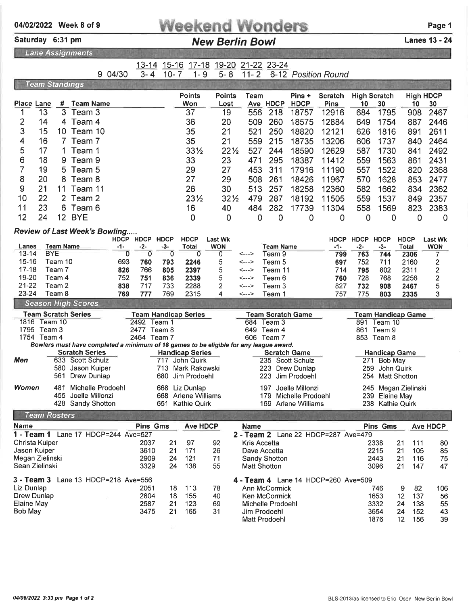| <b>Weekend Wonders</b> | Page 1 |
|------------------------|--------|
|                        |        |

13-14 15-16 17-18 19-20 21-22 23-24

Saturday 6:31 pm **New Berlin Bowl** Canes 13 - 24

10- 7 1- 9 5- 8 11- 2 6-12 Position Round

Lane Assignments

9 04/30

3-4

Week 8 of 9

|                           | <b>Team Standings</b> |                  |                                                                                        |          |                         |                      |                             |                 |              |                                    |                          |                                     |              |                                |                           |                         |
|---------------------------|-----------------------|------------------|----------------------------------------------------------------------------------------|----------|-------------------------|----------------------|-----------------------------|-----------------|--------------|------------------------------------|--------------------------|-------------------------------------|--------------|--------------------------------|---------------------------|-------------------------|
|                           |                       |                  |                                                                                        |          |                         |                      | <b>Points</b>               | <b>Points</b>   | Team         |                                    | Pins +                   | <b>Scratch</b>                      |              | <b>High Scratch</b>            |                           | <b>High HDCP</b>        |
| Place Lane                |                       | #                | <b>Team Name</b>                                                                       |          |                         |                      | Won                         | Lost            |              | Ave HDCP                           | <b>HDCP</b>              | <b>Pins</b>                         | 10           | 30                             | 10                        | 30                      |
| 1                         | 13                    | $\overline{3}$   | Team 3                                                                                 |          |                         |                      | 37                          | 19              | 556          | 218                                | 18757                    | 12916                               | 684          | 1795                           | 908                       | 2467                    |
| 2                         | 14                    | 4                | Team 4                                                                                 |          |                         |                      | 36                          | 20              | 509          | 260                                | 18575                    | 12884                               | 649          | 1754                           | 887                       | 2446                    |
| 3                         | 15                    | 10.              | Team 10                                                                                |          |                         |                      | 35                          | 21              | 521          | 250                                | 18820                    | 12121                               | 626          | 1816                           | 891                       | 2611                    |
| 4                         | 16                    | 7                | Team 7                                                                                 |          |                         |                      | 35                          | 21              | 559          | 215                                | 18735                    | 13206                               | 606          | 1737                           | 840                       | 2464                    |
| 5                         | 17                    | 1                | Team 1                                                                                 |          |                         |                      | $33\frac{1}{2}$             | $22\frac{1}{2}$ | 527          | 244                                | 18590                    | 12629                               | 587          | 1730                           | 841                       | 2492                    |
| 6                         | 18                    | 9                | Team 9                                                                                 |          |                         |                      | 33                          | 23              | 471          | 295                                | 18387                    | 11412                               | 559          | 1563                           | 861                       | 2431                    |
| 7                         | 19                    | 5                | Team 5                                                                                 |          |                         |                      | 29                          | 27              | 453          | 311                                | 17916                    | 11190                               | 557          | 1522                           | 820                       | 2368                    |
| 8                         | 20                    | 8                | Team 8                                                                                 |          |                         |                      | 27                          | 29              | 508          | 261                                | 18426                    | 11967                               | 570          | 1628                           | 853                       | 2477                    |
| 9                         | 21                    | 11               | Team 11                                                                                |          |                         |                      | 26                          | 30              | 513          | 257                                | 18258                    | 12360                               | 582          | 1662                           | 834                       | 2362                    |
| 10                        | 22                    | $\overline{2}$   | Team 2                                                                                 |          |                         |                      | $23\frac{1}{2}$             | $32\frac{1}{2}$ | 479          | 287                                | 18192                    | 11505                               | 559          | 1537                           | 849                       | 2357                    |
| 11                        | 23                    | 6                | Team 6                                                                                 |          |                         |                      | 16                          | 40              | 484          | 282                                | 17739                    | 11304                               | 558          | 1569                           | 823                       | 2383                    |
| 12                        | 24                    |                  | <b>12 BYE</b>                                                                          |          |                         |                      | 0                           | 0               | 0            | 0                                  | 0                        | 0                                   | 0            | 0                              | 0                         | 0                       |
|                           |                       |                  | <b>Review of Last Week's Bowling</b>                                                   |          |                         |                      |                             |                 |              |                                    |                          |                                     |              |                                |                           |                         |
|                           |                       |                  |                                                                                        |          |                         | HDCP HDCP HDCP       | <b>HDCP</b>                 | <b>Last Wk</b>  |              |                                    |                          | <b>HDCP</b>                         | <b>HDCP</b>  | <b>HDCP</b>                    | <b>HDCP</b>               | <b>Last Wk</b>          |
| Lanes<br>$13 - 14$        | <b>BYE</b>            | <b>Team Name</b> |                                                                                        | -1-<br>0 | $-2-$<br>$\overline{0}$ | $-3-$<br>$\mathbf 0$ | Total<br>0                  | <b>WON</b><br>0 | <--->        | <b>Team Name</b><br>Team 9         |                          | $-1-$<br>799                        | $-2-$<br>763 | $-3-$<br>744                   | <b>Total</b><br>2306      | <b>WON</b><br>7         |
| $15 - 16$                 |                       | Team 10          |                                                                                        | 693      | 760                     | 793                  | 2246                        | 5               | <--->        | Team 5                             |                          | 697                                 | 752          | 711                            | 2160                      | $\overline{\mathbf{c}}$ |
| $17 - 18$                 |                       | Team 7           |                                                                                        | 826      | 766                     | 805                  | 2397                        | 5               | <--->        | Team 11                            |                          | 714                                 | 795          | 802                            | 2311                      | 2                       |
| 19-20                     |                       | Team 4           |                                                                                        | 752      | 751                     | 836                  | 2339                        | 5               | <--->        | Team 6                             |                          | 760                                 | 728          | 768                            | 2256                      | 2                       |
| $21 - 22$<br>23-24        |                       | Team 2           |                                                                                        | 838      | 717                     | 733                  | 2288                        | 2               | <--->        | Team 3                             |                          | 827                                 | 732          | 908                            | 2467                      | 5                       |
|                           |                       | Team 8           | <b>Season High Scores</b>                                                              | 769      | 777                     | 769                  | 2315                        | 4               | <--->        | Team 1                             |                          | 757                                 | 775          | 803                            | 2335                      | 3                       |
|                           |                       |                  | <b>Team Scratch Series</b>                                                             |          |                         |                      | <b>Team Handicap Series</b> |                 |              |                                    | <b>Team Scratch Game</b> |                                     |              |                                | <b>Team Handicap Game</b> |                         |
|                           | 1816 Team 10          |                  |                                                                                        |          |                         | 2492 Team 1          |                             |                 |              | 684 Team 3                         |                          |                                     |              | 891 Team 10                    |                           |                         |
|                           | 1795 Team 3           |                  |                                                                                        |          | 2477                    | Team 8               |                             |                 | 649          | Team 4                             |                          |                                     |              | 861 Team 9                     |                           |                         |
|                           | 1754 Team 4           |                  | Bowlers must have completed a minimum of 18 games to be eligible for any league award. |          |                         | 2464 Team 7          |                             |                 |              | 606 Team 7                         |                          |                                     |              | 853 Team 8                     |                           |                         |
|                           |                       |                  | <b>Scratch Series</b>                                                                  |          |                         |                      | <b>Handicap Series</b>      |                 |              |                                    | <b>Scratch Game</b>      |                                     |              | <b>Handicap Game</b>           |                           |                         |
| Men                       |                       |                  | 633 Scott Schulz                                                                       |          |                         | 717                  | John Quirk                  |                 |              |                                    | 235 Scott Schulz         |                                     | 271          | <b>Bob May</b>                 |                           |                         |
|                           |                       | 580              | Jason Kuiper                                                                           |          |                         |                      | 713 Mark Rakowski           |                 |              | 223                                | Drew Dunlap              |                                     | 259          | John Quirk                     |                           |                         |
|                           |                       | 561              | Drew Dunlap                                                                            |          |                         | 680                  | Jim Prodoehl                |                 |              | 223                                | Jim Prodoehl             |                                     | 254          |                                | <b>Matt Shotton</b>       |                         |
| Women                     |                       | 481              | Michelle Prodoehl                                                                      |          |                         | 668                  | Liz Dunlap                  |                 |              | 197                                | Joelle Millonzi          |                                     | 245          |                                | Megan Zielinski           |                         |
|                           |                       | 455              | Joelle Millonzi                                                                        |          |                         | 668                  | Arlene Williams             |                 |              | 179                                | Michelle Prodoehl        |                                     | 239          | Elaine May<br>238 Kathie Quirk |                           |                         |
|                           |                       |                  | 428 Sandy Shotton                                                                      |          |                         | 651                  | <b>Kathie Quirk</b>         |                 |              |                                    | 169 Arlene Williams      |                                     |              |                                |                           |                         |
|                           | <b>Team Rosters</b>   |                  |                                                                                        |          |                         |                      |                             |                 |              |                                    |                          |                                     |              |                                |                           |                         |
| <b>Name</b>               |                       |                  | 1 - Team 1 Lane 17 HDCP=244 Ave=527                                                    |          | <b>Pins Gms</b>         |                      | <b>Ave HDCP</b>             |                 | Name         |                                    |                          | 2 - Team 2 Lane 22 HDCP=287 Ave=479 |              | <b>Pins Gms</b>                |                           | <b>Ave HDCP</b>         |
| Christa Kuiper            |                       |                  |                                                                                        |          | 2037                    | 21                   | 97                          | 92              | Kris Accetta |                                    |                          |                                     |              | 2338                           | 21<br>111                 | 80                      |
| Jason Kuiper              |                       |                  |                                                                                        |          | 3610                    | 21                   | 171                         | 26              |              | Dave Accetta                       |                          |                                     |              | 2215                           | 21<br>105                 | 85                      |
| Megan Zielinski           |                       |                  |                                                                                        |          | 2909                    | 24                   | 121                         | 71              |              | <b>Sandy Shotton</b>               |                          |                                     |              | 2443                           | 21<br>116                 | 75                      |
| Sean Zielinski            |                       |                  |                                                                                        |          | 3329                    | 24                   | 138                         | 55              |              | <b>Matt Shotton</b>                |                          |                                     |              | 3096                           | 21<br>147                 | 47                      |
|                           |                       |                  | 3 - Team 3 Lane 13 HDCP=218 Ave=556                                                    |          |                         |                      |                             |                 |              |                                    |                          | 4 - Team 4 Lane 14 HDCP=260 Ave=509 |              |                                |                           |                         |
| Liz Dunlap                |                       |                  |                                                                                        |          | 2051                    | 18                   | 113                         | 78              |              | Ann McCormick                      |                          |                                     |              | 746                            | 9<br>82                   | 106                     |
| Drew Dunlap<br>Elaine May |                       |                  |                                                                                        |          | 2804<br>2587            | 18<br>21             | 155<br>123                  | 40<br>69        |              | Ken McCormick<br>Michelle Prodoehl |                          |                                     |              | 1653                           | 12<br>137                 | 56                      |
| <b>Bob May</b>            |                       |                  |                                                                                        |          | 3475                    | 21                   | 165                         | 31              |              | Jim Prodoehl                       |                          |                                     |              | 3332<br>3654                   | 24<br>138<br>24<br>152    | 55<br>43                |

 

 

Michelle Prodoehl <sup>3332</sup> Jim Prodoehl <sup>3654</sup>

Matt Prodoehl